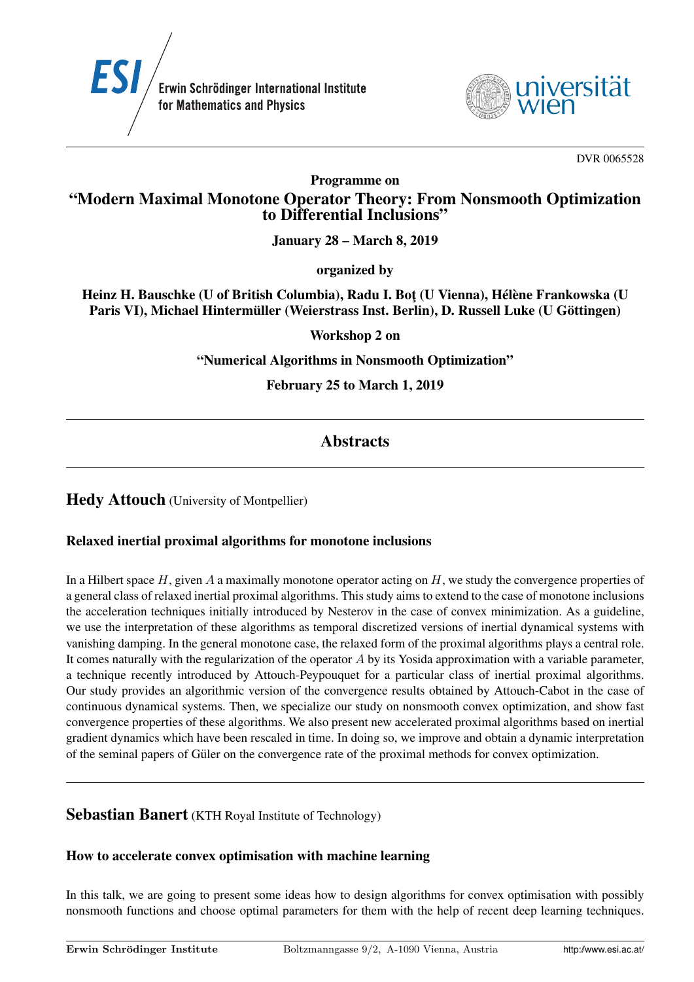



DVR 0065528

Programme on

# "Modern Maximal Monotone Operator Theory: From Nonsmooth Optimization to Differential Inclusions"

January 28 – March 8, 2019

organized by

Heinz H. Bauschke (U of British Columbia), Radu I. Bot (U Vienna), Hélène Frankowska (U Paris VI), Michael Hintermüller (Weierstrass Inst. Berlin), D. Russell Luke (U Göttingen)

Workshop 2 on

"Numerical Algorithms in Nonsmooth Optimization"

February 25 to March 1, 2019

# **Abstracts**

**Hedy Attouch** (University of Montpellier)

#### Relaxed inertial proximal algorithms for monotone inclusions

In a Hilbert space  $H$ , given  $A$  a maximally monotone operator acting on  $H$ , we study the convergence properties of a general class of relaxed inertial proximal algorithms. This study aims to extend to the case of monotone inclusions the acceleration techniques initially introduced by Nesterov in the case of convex minimization. As a guideline, we use the interpretation of these algorithms as temporal discretized versions of inertial dynamical systems with vanishing damping. In the general monotone case, the relaxed form of the proximal algorithms plays a central role. It comes naturally with the regularization of the operator  $A$  by its Yosida approximation with a variable parameter, a technique recently introduced by Attouch-Peypouquet for a particular class of inertial proximal algorithms. Our study provides an algorithmic version of the convergence results obtained by Attouch-Cabot in the case of continuous dynamical systems. Then, we specialize our study on nonsmooth convex optimization, and show fast convergence properties of these algorithms. We also present new accelerated proximal algorithms based on inertial gradient dynamics which have been rescaled in time. In doing so, we improve and obtain a dynamic interpretation of the seminal papers of Guler on the convergence rate of the proximal methods for convex optimization. ¨

## Sebastian Banert (KTH Royal Institute of Technology)

#### How to accelerate convex optimisation with machine learning

In this talk, we are going to present some ideas how to design algorithms for convex optimisation with possibly nonsmooth functions and choose optimal parameters for them with the help of recent deep learning techniques.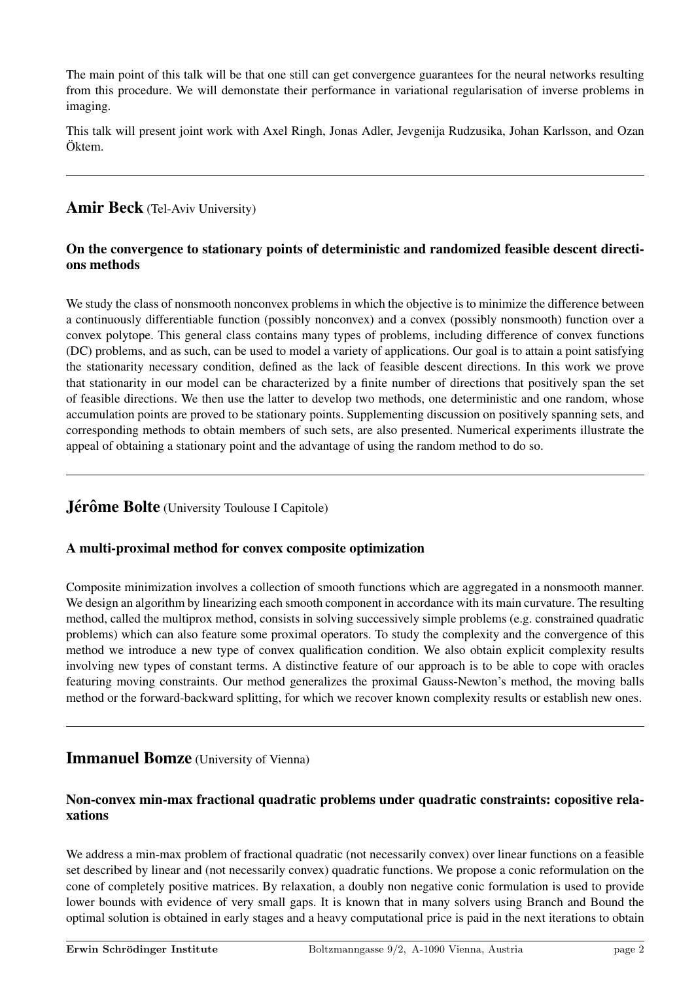The main point of this talk will be that one still can get convergence guarantees for the neural networks resulting from this procedure. We will demonstate their performance in variational regularisation of inverse problems in imaging.

This talk will present joint work with Axel Ringh, Jonas Adler, Jevgenija Rudzusika, Johan Karlsson, and Ozan Öktem.

## Amir Beck (Tel-Aviv University)

#### On the convergence to stationary points of deterministic and randomized feasible descent directions methods

We study the class of nonsmooth nonconvex problems in which the objective is to minimize the difference between a continuously differentiable function (possibly nonconvex) and a convex (possibly nonsmooth) function over a convex polytope. This general class contains many types of problems, including difference of convex functions (DC) problems, and as such, can be used to model a variety of applications. Our goal is to attain a point satisfying the stationarity necessary condition, defined as the lack of feasible descent directions. In this work we prove that stationarity in our model can be characterized by a finite number of directions that positively span the set of feasible directions. We then use the latter to develop two methods, one deterministic and one random, whose accumulation points are proved to be stationary points. Supplementing discussion on positively spanning sets, and corresponding methods to obtain members of such sets, are also presented. Numerical experiments illustrate the appeal of obtaining a stationary point and the advantage of using the random method to do so.

## Jérôme Bolte (University Toulouse I Capitole)

## A multi-proximal method for convex composite optimization

Composite minimization involves a collection of smooth functions which are aggregated in a nonsmooth manner. We design an algorithm by linearizing each smooth component in accordance with its main curvature. The resulting method, called the multiprox method, consists in solving successively simple problems (e.g. constrained quadratic problems) which can also feature some proximal operators. To study the complexity and the convergence of this method we introduce a new type of convex qualification condition. We also obtain explicit complexity results involving new types of constant terms. A distinctive feature of our approach is to be able to cope with oracles featuring moving constraints. Our method generalizes the proximal Gauss-Newton's method, the moving balls method or the forward-backward splitting, for which we recover known complexity results or establish new ones.

## Immanuel Bomze (University of Vienna)

#### Non-convex min-max fractional quadratic problems under quadratic constraints: copositive relaxations

We address a min-max problem of fractional quadratic (not necessarily convex) over linear functions on a feasible set described by linear and (not necessarily convex) quadratic functions. We propose a conic reformulation on the cone of completely positive matrices. By relaxation, a doubly non negative conic formulation is used to provide lower bounds with evidence of very small gaps. It is known that in many solvers using Branch and Bound the optimal solution is obtained in early stages and a heavy computational price is paid in the next iterations to obtain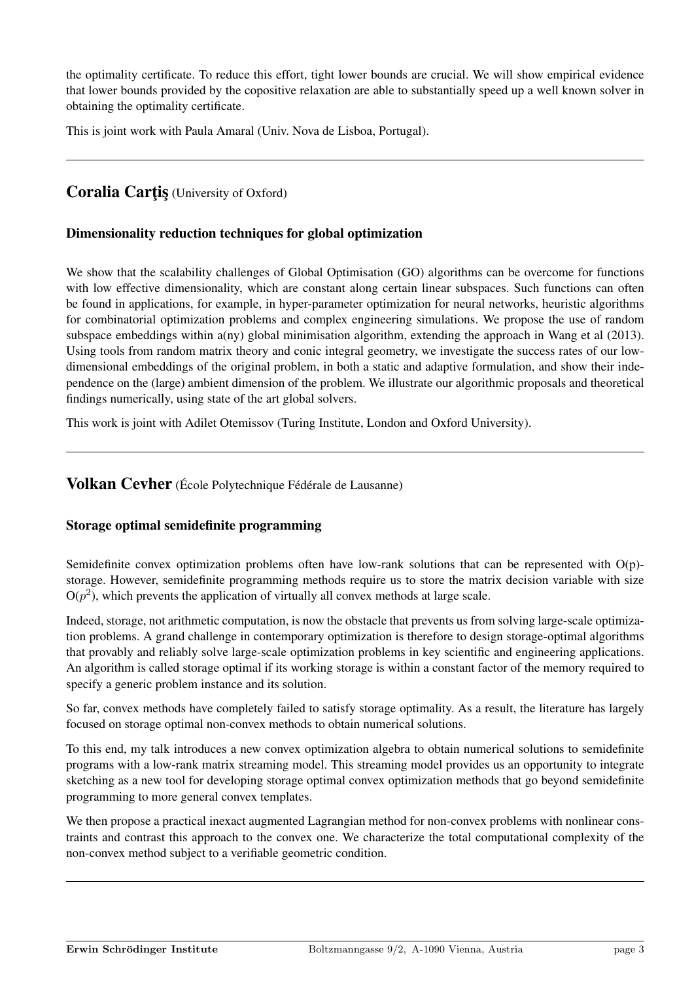the optimality certificate. To reduce this effort, tight lower bounds are crucial. We will show empirical evidence that lower bounds provided by the copositive relaxation are able to substantially speed up a well known solver in obtaining the optimality certificate.

This is joint work with Paula Amaral (Univ. Nova de Lisboa, Portugal).

## Coralia Cartis (University of Oxford)

#### Dimensionality reduction techniques for global optimization

We show that the scalability challenges of Global Optimisation (GO) algorithms can be overcome for functions with low effective dimensionality, which are constant along certain linear subspaces. Such functions can often be found in applications, for example, in hyper-parameter optimization for neural networks, heuristic algorithms for combinatorial optimization problems and complex engineering simulations. We propose the use of random subspace embeddings within a(ny) global minimisation algorithm, extending the approach in Wang et al (2013). Using tools from random matrix theory and conic integral geometry, we investigate the success rates of our lowdimensional embeddings of the original problem, in both a static and adaptive formulation, and show their independence on the (large) ambient dimension of the problem. We illustrate our algorithmic proposals and theoretical findings numerically, using state of the art global solvers.

This work is joint with Adilet Otemissov (Turing Institute, London and Oxford University).

## Volkan Cevher (École Polytechnique Fédérale de Lausanne)

#### Storage optimal semidefinite programming

Semidefinite convex optimization problems often have low-rank solutions that can be represented with  $O(p)$ storage. However, semidefinite programming methods require us to store the matrix decision variable with size  $O(p^2)$ , which prevents the application of virtually all convex methods at large scale.

Indeed, storage, not arithmetic computation, is now the obstacle that prevents us from solving large-scale optimization problems. A grand challenge in contemporary optimization is therefore to design storage-optimal algorithms that provably and reliably solve large-scale optimization problems in key scientific and engineering applications. An algorithm is called storage optimal if its working storage is within a constant factor of the memory required to specify a generic problem instance and its solution.

So far, convex methods have completely failed to satisfy storage optimality. As a result, the literature has largely focused on storage optimal non-convex methods to obtain numerical solutions.

To this end, my talk introduces a new convex optimization algebra to obtain numerical solutions to semidefinite programs with a low-rank matrix streaming model. This streaming model provides us an opportunity to integrate sketching as a new tool for developing storage optimal convex optimization methods that go beyond semidefinite programming to more general convex templates.

We then propose a practical inexact augmented Lagrangian method for non-convex problems with nonlinear constraints and contrast this approach to the convex one. We characterize the total computational complexity of the non-convex method subject to a verifiable geometric condition.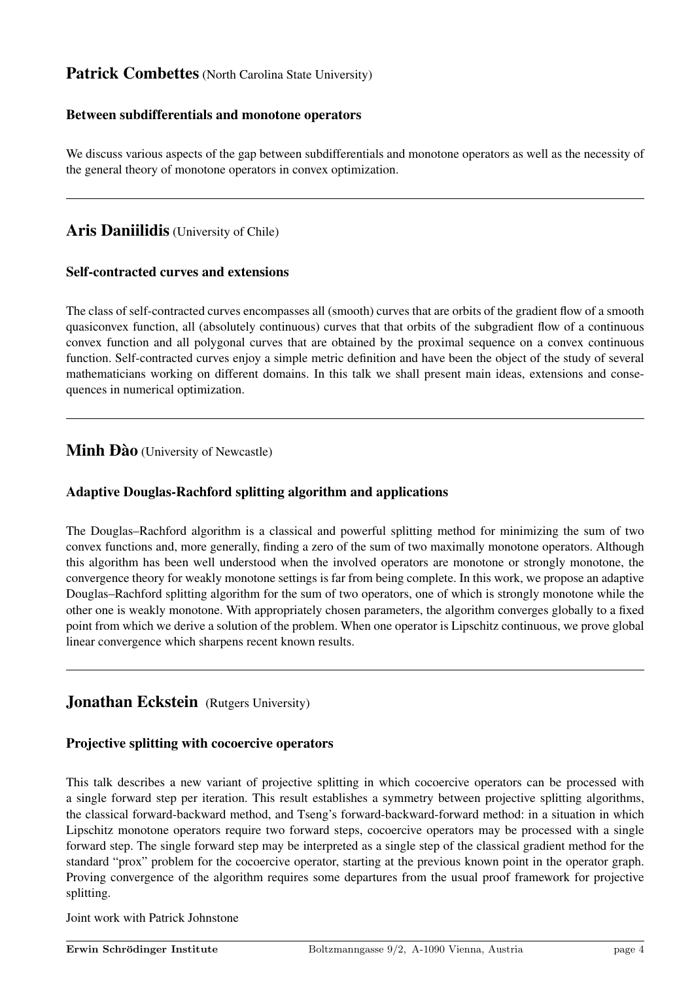## Patrick Combettes (North Carolina State University)

#### Between subdifferentials and monotone operators

We discuss various aspects of the gap between subdifferentials and monotone operators as well as the necessity of the general theory of monotone operators in convex optimization.

## Aris Daniilidis (University of Chile)

#### Self-contracted curves and extensions

The class of self-contracted curves encompasses all (smooth) curves that are orbits of the gradient flow of a smooth quasiconvex function, all (absolutely continuous) curves that that orbits of the subgradient flow of a continuous convex function and all polygonal curves that are obtained by the proximal sequence on a convex continuous function. Self-contracted curves enjoy a simple metric definition and have been the object of the study of several mathematicians working on different domains. In this talk we shall present main ideas, extensions and consequences in numerical optimization.

## Minh Dào (University of Newcastle)

#### Adaptive Douglas-Rachford splitting algorithm and applications

The Douglas–Rachford algorithm is a classical and powerful splitting method for minimizing the sum of two convex functions and, more generally, finding a zero of the sum of two maximally monotone operators. Although this algorithm has been well understood when the involved operators are monotone or strongly monotone, the convergence theory for weakly monotone settings is far from being complete. In this work, we propose an adaptive Douglas–Rachford splitting algorithm for the sum of two operators, one of which is strongly monotone while the other one is weakly monotone. With appropriately chosen parameters, the algorithm converges globally to a fixed point from which we derive a solution of the problem. When one operator is Lipschitz continuous, we prove global linear convergence which sharpens recent known results.

## Jonathan Eckstein (Rutgers University)

#### Projective splitting with cocoercive operators

This talk describes a new variant of projective splitting in which cocoercive operators can be processed with a single forward step per iteration. This result establishes a symmetry between projective splitting algorithms, the classical forward-backward method, and Tseng's forward-backward-forward method: in a situation in which Lipschitz monotone operators require two forward steps, cocoercive operators may be processed with a single forward step. The single forward step may be interpreted as a single step of the classical gradient method for the standard "prox" problem for the cocoercive operator, starting at the previous known point in the operator graph. Proving convergence of the algorithm requires some departures from the usual proof framework for projective splitting.

Joint work with Patrick Johnstone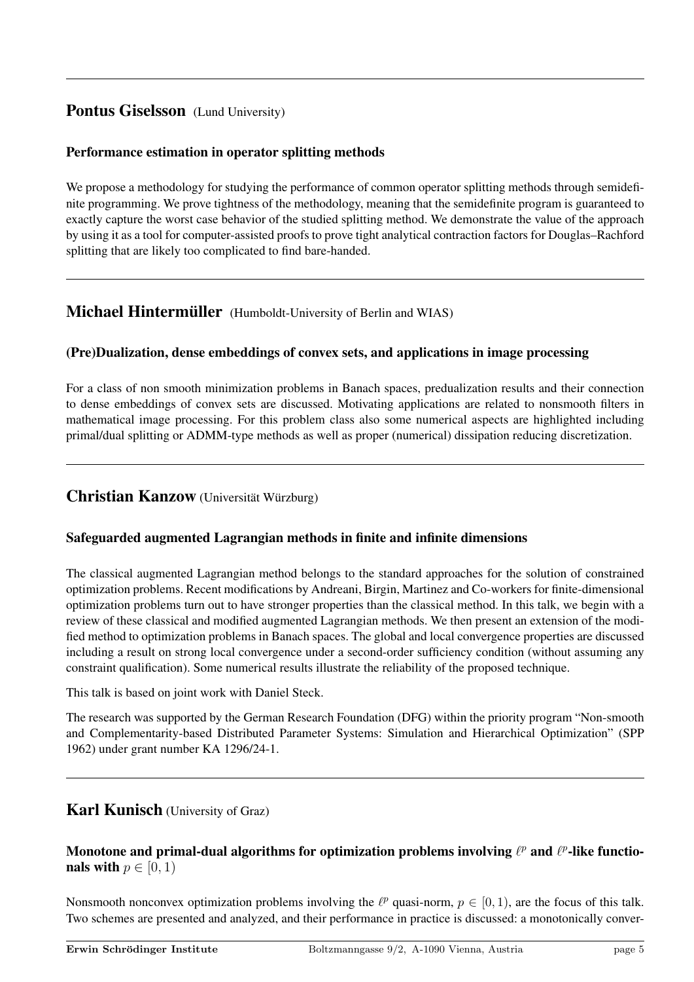# Pontus Giselsson (Lund University)

## Performance estimation in operator splitting methods

We propose a methodology for studying the performance of common operator splitting methods through semidefinite programming. We prove tightness of the methodology, meaning that the semidefinite program is guaranteed to exactly capture the worst case behavior of the studied splitting method. We demonstrate the value of the approach by using it as a tool for computer-assisted proofs to prove tight analytical contraction factors for Douglas–Rachford splitting that are likely too complicated to find bare-handed.

## **Michael Hintermüller** (Humboldt-University of Berlin and WIAS)

## (Pre)Dualization, dense embeddings of convex sets, and applications in image processing

For a class of non smooth minimization problems in Banach spaces, predualization results and their connection to dense embeddings of convex sets are discussed. Motivating applications are related to nonsmooth filters in mathematical image processing. For this problem class also some numerical aspects are highlighted including primal/dual splitting or ADMM-type methods as well as proper (numerical) dissipation reducing discretization.

## Christian Kanzow (Universität Würzburg)

## Safeguarded augmented Lagrangian methods in finite and infinite dimensions

The classical augmented Lagrangian method belongs to the standard approaches for the solution of constrained optimization problems. Recent modifications by Andreani, Birgin, Martinez and Co-workers for finite-dimensional optimization problems turn out to have stronger properties than the classical method. In this talk, we begin with a review of these classical and modified augmented Lagrangian methods. We then present an extension of the modified method to optimization problems in Banach spaces. The global and local convergence properties are discussed including a result on strong local convergence under a second-order sufficiency condition (without assuming any constraint qualification). Some numerical results illustrate the reliability of the proposed technique.

This talk is based on joint work with Daniel Steck.

The research was supported by the German Research Foundation (DFG) within the priority program "Non-smooth and Complementarity-based Distributed Parameter Systems: Simulation and Hierarchical Optimization" (SPP 1962) under grant number KA 1296/24-1.

## Karl Kunisch (University of Graz)

## Monotone and primal-dual algorithms for optimization problems involving  $\ell^p$  and  $\ell^p$ -like functionals with  $p \in [0, 1)$

Nonsmooth nonconvex optimization problems involving the  $\ell^p$  quasi-norm,  $p \in [0, 1)$ , are the focus of this talk. Two schemes are presented and analyzed, and their performance in practice is discussed: a monotonically conver-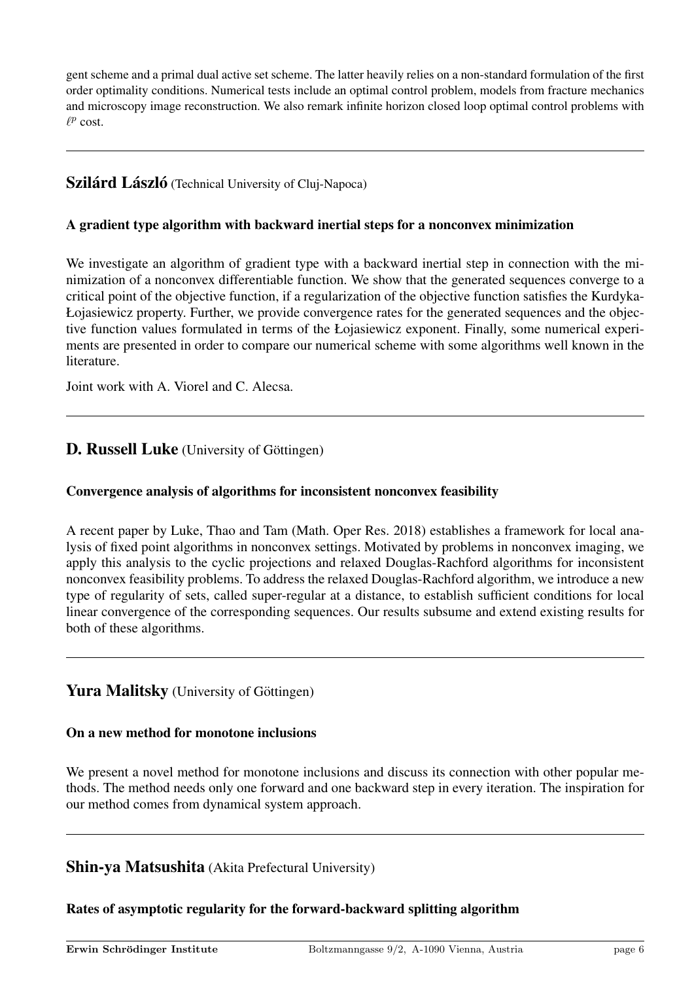gent scheme and a primal dual active set scheme. The latter heavily relies on a non-standard formulation of the first order optimality conditions. Numerical tests include an optimal control problem, models from fracture mechanics and microscopy image reconstruction. We also remark infinite horizon closed loop optimal control problems with  $\ell^p$  cost.

## **Szilárd László** (Technical University of Cluj-Napoca)

#### A gradient type algorithm with backward inertial steps for a nonconvex minimization

We investigate an algorithm of gradient type with a backward inertial step in connection with the minimization of a nonconvex differentiable function. We show that the generated sequences converge to a critical point of the objective function, if a regularization of the objective function satisfies the Kurdyka-Łojasiewicz property. Further, we provide convergence rates for the generated sequences and the objective function values formulated in terms of the Łojasiewicz exponent. Finally, some numerical experiments are presented in order to compare our numerical scheme with some algorithms well known in the literature.

Joint work with A. Viorel and C. Alecsa.

## D. Russell Luke (University of Göttingen)

#### Convergence analysis of algorithms for inconsistent nonconvex feasibility

A recent paper by Luke, Thao and Tam (Math. Oper Res. 2018) establishes a framework for local analysis of fixed point algorithms in nonconvex settings. Motivated by problems in nonconvex imaging, we apply this analysis to the cyclic projections and relaxed Douglas-Rachford algorithms for inconsistent nonconvex feasibility problems. To address the relaxed Douglas-Rachford algorithm, we introduce a new type of regularity of sets, called super-regular at a distance, to establish sufficient conditions for local linear convergence of the corresponding sequences. Our results subsume and extend existing results for both of these algorithms.

## **Yura Malitsky** (University of Göttingen)

#### On a new method for monotone inclusions

We present a novel method for monotone inclusions and discuss its connection with other popular methods. The method needs only one forward and one backward step in every iteration. The inspiration for our method comes from dynamical system approach.

## Shin-ya Matsushita (Akita Prefectural University)

## Rates of asymptotic regularity for the forward-backward splitting algorithm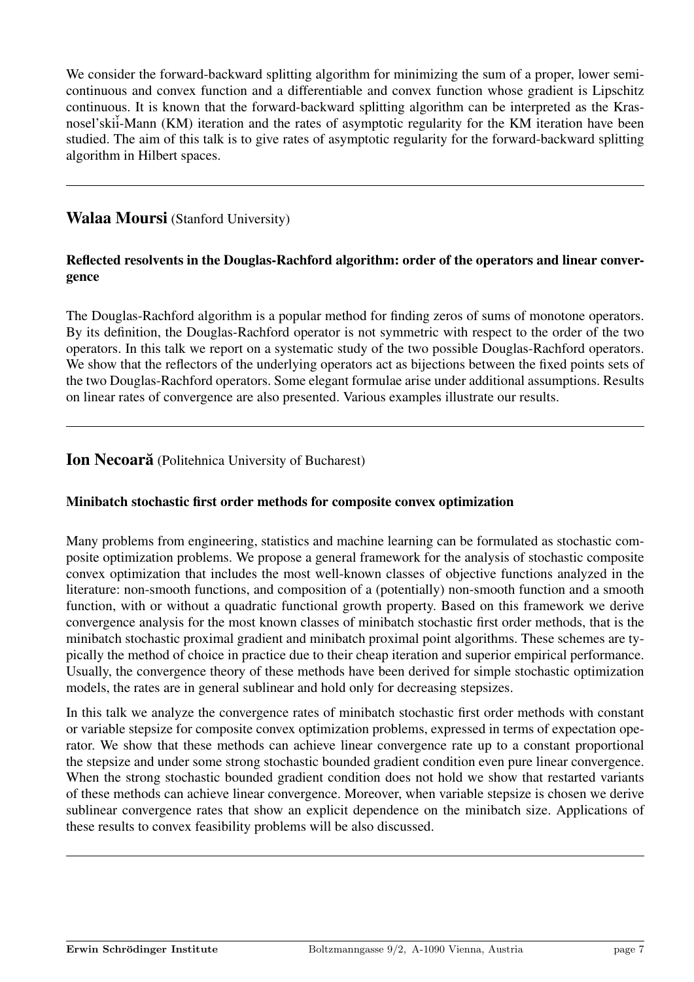We consider the forward-backward splitting algorithm for minimizing the sum of a proper, lower semicontinuous and convex function and a differentiable and convex function whose gradient is Lipschitz continuous. It is known that the forward-backward splitting algorithm can be interpreted as the Krasnosel'skii-Mann (KM) iteration and the rates of asymptotic regularity for the KM iteration have been studied. The aim of this talk is to give rates of asymptotic regularity for the forward-backward splitting algorithm in Hilbert spaces.

## Walaa Moursi (Stanford University)

## Reflected resolvents in the Douglas-Rachford algorithm: order of the operators and linear convergence

The Douglas-Rachford algorithm is a popular method for finding zeros of sums of monotone operators. By its definition, the Douglas-Rachford operator is not symmetric with respect to the order of the two operators. In this talk we report on a systematic study of the two possible Douglas-Rachford operators. We show that the reflectors of the underlying operators act as bijections between the fixed points sets of the two Douglas-Rachford operators. Some elegant formulae arise under additional assumptions. Results on linear rates of convergence are also presented. Various examples illustrate our results.

## **Ion Necoară** (Politehnica University of Bucharest)

## Minibatch stochastic first order methods for composite convex optimization

Many problems from engineering, statistics and machine learning can be formulated as stochastic composite optimization problems. We propose a general framework for the analysis of stochastic composite convex optimization that includes the most well-known classes of objective functions analyzed in the literature: non-smooth functions, and composition of a (potentially) non-smooth function and a smooth function, with or without a quadratic functional growth property. Based on this framework we derive convergence analysis for the most known classes of minibatch stochastic first order methods, that is the minibatch stochastic proximal gradient and minibatch proximal point algorithms. These schemes are typically the method of choice in practice due to their cheap iteration and superior empirical performance. Usually, the convergence theory of these methods have been derived for simple stochastic optimization models, the rates are in general sublinear and hold only for decreasing stepsizes.

In this talk we analyze the convergence rates of minibatch stochastic first order methods with constant or variable stepsize for composite convex optimization problems, expressed in terms of expectation operator. We show that these methods can achieve linear convergence rate up to a constant proportional the stepsize and under some strong stochastic bounded gradient condition even pure linear convergence. When the strong stochastic bounded gradient condition does not hold we show that restarted variants of these methods can achieve linear convergence. Moreover, when variable stepsize is chosen we derive sublinear convergence rates that show an explicit dependence on the minibatch size. Applications of these results to convex feasibility problems will be also discussed.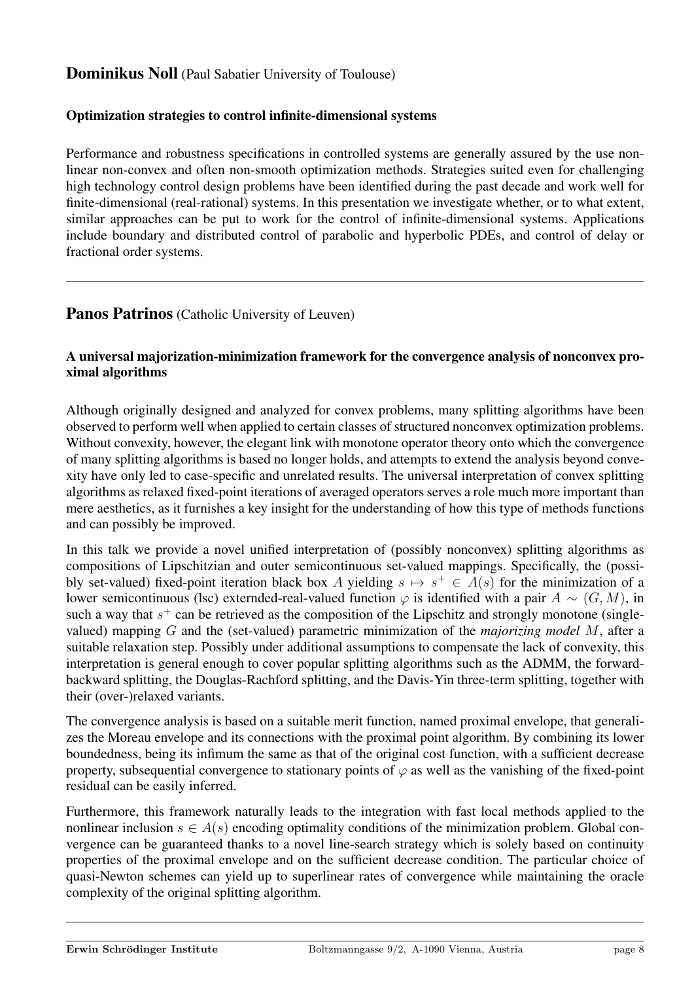# Dominikus Noll (Paul Sabatier University of Toulouse)

## Optimization strategies to control infinite-dimensional systems

Performance and robustness specifications in controlled systems are generally assured by the use nonlinear non-convex and often non-smooth optimization methods. Strategies suited even for challenging high technology control design problems have been identified during the past decade and work well for finite-dimensional (real-rational) systems. In this presentation we investigate whether, or to what extent, similar approaches can be put to work for the control of infinite-dimensional systems. Applications include boundary and distributed control of parabolic and hyperbolic PDEs, and control of delay or fractional order systems.

## Panos Patrinos (Catholic University of Leuven)

#### A universal majorization-minimization framework for the convergence analysis of nonconvex proximal algorithms

Although originally designed and analyzed for convex problems, many splitting algorithms have been observed to perform well when applied to certain classes of structured nonconvex optimization problems. Without convexity, however, the elegant link with monotone operator theory onto which the convergence of many splitting algorithms is based no longer holds, and attempts to extend the analysis beyond convexity have only led to case-specific and unrelated results. The universal interpretation of convex splitting algorithms as relaxed fixed-point iterations of averaged operators serves a role much more important than mere aesthetics, as it furnishes a key insight for the understanding of how this type of methods functions and can possibly be improved.

In this talk we provide a novel unified interpretation of (possibly nonconvex) splitting algorithms as compositions of Lipschitzian and outer semicontinuous set-valued mappings. Specifically, the (possibly set-valued) fixed-point iteration black box A yielding  $s \mapsto s^+ \in A(s)$  for the minimization of a lower semicontinuous (lsc) externded-real-valued function  $\varphi$  is identified with a pair  $A \sim (G, M)$ , in such a way that  $s^{+}$  can be retrieved as the composition of the Lipschitz and strongly monotone (singlevalued) mapping G and the (set-valued) parametric minimization of the *majorizing model* M, after a suitable relaxation step. Possibly under additional assumptions to compensate the lack of convexity, this interpretation is general enough to cover popular splitting algorithms such as the ADMM, the forwardbackward splitting, the Douglas-Rachford splitting, and the Davis-Yin three-term splitting, together with their (over-)relaxed variants.

The convergence analysis is based on a suitable merit function, named proximal envelope, that generalizes the Moreau envelope and its connections with the proximal point algorithm. By combining its lower boundedness, being its infimum the same as that of the original cost function, with a sufficient decrease property, subsequential convergence to stationary points of  $\varphi$  as well as the vanishing of the fixed-point residual can be easily inferred.

Furthermore, this framework naturally leads to the integration with fast local methods applied to the nonlinear inclusion  $s \in A(s)$  encoding optimality conditions of the minimization problem. Global convergence can be guaranteed thanks to a novel line-search strategy which is solely based on continuity properties of the proximal envelope and on the sufficient decrease condition. The particular choice of quasi-Newton schemes can yield up to superlinear rates of convergence while maintaining the oracle complexity of the original splitting algorithm.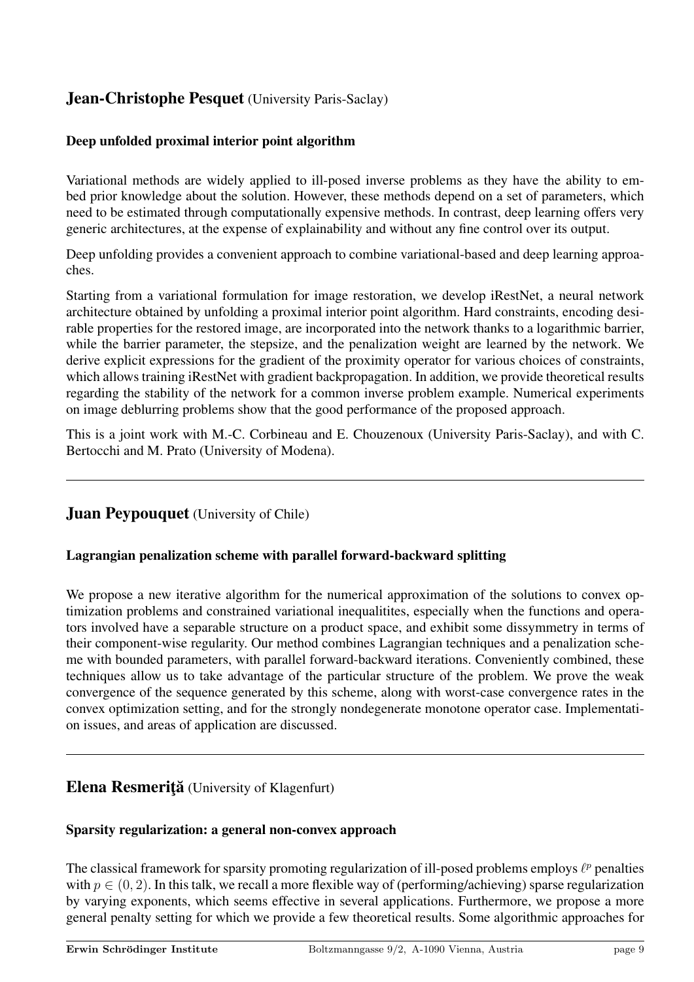# Jean-Christophe Pesquet (University Paris-Saclay)

## Deep unfolded proximal interior point algorithm

Variational methods are widely applied to ill-posed inverse problems as they have the ability to embed prior knowledge about the solution. However, these methods depend on a set of parameters, which need to be estimated through computationally expensive methods. In contrast, deep learning offers very generic architectures, at the expense of explainability and without any fine control over its output.

Deep unfolding provides a convenient approach to combine variational-based and deep learning approaches.

Starting from a variational formulation for image restoration, we develop iRestNet, a neural network architecture obtained by unfolding a proximal interior point algorithm. Hard constraints, encoding desirable properties for the restored image, are incorporated into the network thanks to a logarithmic barrier, while the barrier parameter, the stepsize, and the penalization weight are learned by the network. We derive explicit expressions for the gradient of the proximity operator for various choices of constraints, which allows training iRestNet with gradient backpropagation. In addition, we provide theoretical results regarding the stability of the network for a common inverse problem example. Numerical experiments on image deblurring problems show that the good performance of the proposed approach.

This is a joint work with M.-C. Corbineau and E. Chouzenoux (University Paris-Saclay), and with C. Bertocchi and M. Prato (University of Modena).

## **Juan Peypouquet** (University of Chile)

## Lagrangian penalization scheme with parallel forward-backward splitting

We propose a new iterative algorithm for the numerical approximation of the solutions to convex optimization problems and constrained variational inequalitites, especially when the functions and operators involved have a separable structure on a product space, and exhibit some dissymmetry in terms of their component-wise regularity. Our method combines Lagrangian techniques and a penalization scheme with bounded parameters, with parallel forward-backward iterations. Conveniently combined, these techniques allow us to take advantage of the particular structure of the problem. We prove the weak convergence of the sequence generated by this scheme, along with worst-case convergence rates in the convex optimization setting, and for the strongly nondegenerate monotone operator case. Implementation issues, and areas of application are discussed.

# Elena Resmeriță (University of Klagenfurt)

## Sparsity regularization: a general non-convex approach

The classical framework for sparsity promoting regularization of ill-posed problems employs  $\ell^p$  penalties with  $p \in (0, 2)$ . In this talk, we recall a more flexible way of (performing/achieving) sparse regularization by varying exponents, which seems effective in several applications. Furthermore, we propose a more general penalty setting for which we provide a few theoretical results. Some algorithmic approaches for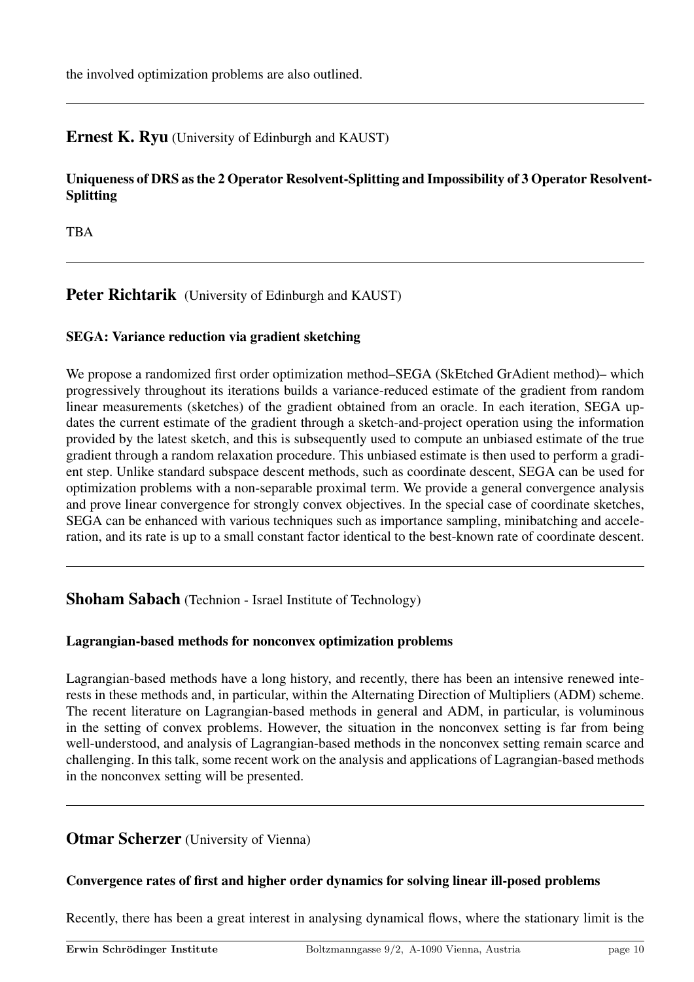the involved optimization problems are also outlined.

# Ernest K. Ryu (University of Edinburgh and KAUST)

## Uniqueness of DRS as the 2 Operator Resolvent-Splitting and Impossibility of 3 Operator Resolvent-Splitting

TBA

## Peter Richtarik (University of Edinburgh and KAUST)

## SEGA: Variance reduction via gradient sketching

We propose a randomized first order optimization method–SEGA (SkEtched GrAdient method)– which progressively throughout its iterations builds a variance-reduced estimate of the gradient from random linear measurements (sketches) of the gradient obtained from an oracle. In each iteration, SEGA updates the current estimate of the gradient through a sketch-and-project operation using the information provided by the latest sketch, and this is subsequently used to compute an unbiased estimate of the true gradient through a random relaxation procedure. This unbiased estimate is then used to perform a gradient step. Unlike standard subspace descent methods, such as coordinate descent, SEGA can be used for optimization problems with a non-separable proximal term. We provide a general convergence analysis and prove linear convergence for strongly convex objectives. In the special case of coordinate sketches, SEGA can be enhanced with various techniques such as importance sampling, minibatching and acceleration, and its rate is up to a small constant factor identical to the best-known rate of coordinate descent.

## Shoham Sabach (Technion - Israel Institute of Technology)

## Lagrangian-based methods for nonconvex optimization problems

Lagrangian-based methods have a long history, and recently, there has been an intensive renewed interests in these methods and, in particular, within the Alternating Direction of Multipliers (ADM) scheme. The recent literature on Lagrangian-based methods in general and ADM, in particular, is voluminous in the setting of convex problems. However, the situation in the nonconvex setting is far from being well-understood, and analysis of Lagrangian-based methods in the nonconvex setting remain scarce and challenging. In this talk, some recent work on the analysis and applications of Lagrangian-based methods in the nonconvex setting will be presented.

## **Otmar Scherzer** (University of Vienna)

## Convergence rates of first and higher order dynamics for solving linear ill-posed problems

Recently, there has been a great interest in analysing dynamical flows, where the stationary limit is the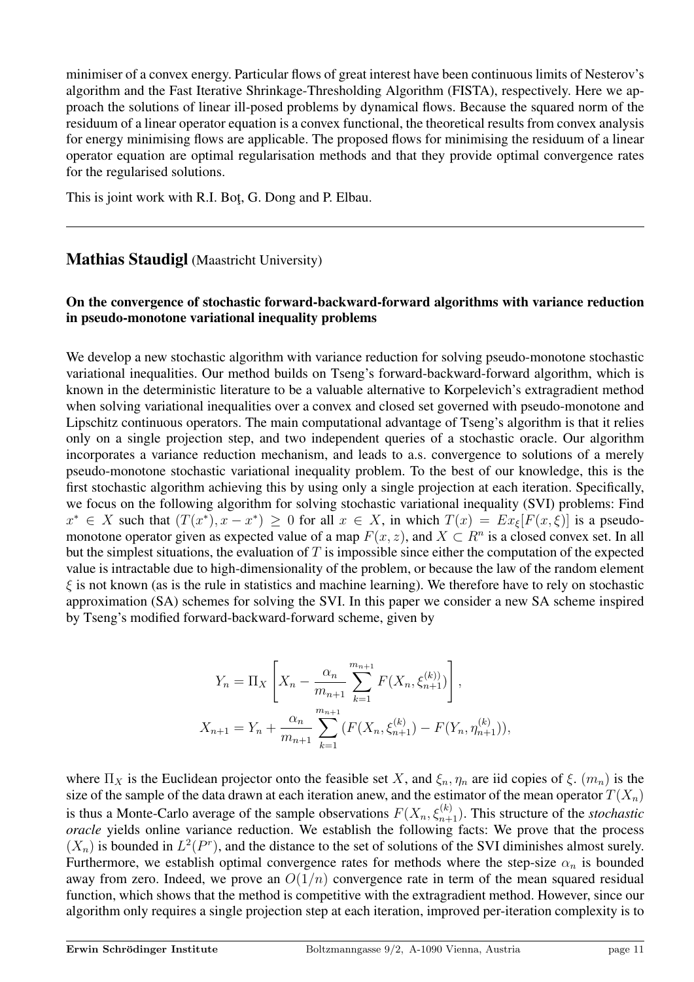minimiser of a convex energy. Particular flows of great interest have been continuous limits of Nesterov's algorithm and the Fast Iterative Shrinkage-Thresholding Algorithm (FISTA), respectively. Here we approach the solutions of linear ill-posed problems by dynamical flows. Because the squared norm of the residuum of a linear operator equation is a convex functional, the theoretical results from convex analysis for energy minimising flows are applicable. The proposed flows for minimising the residuum of a linear operator equation are optimal regularisation methods and that they provide optimal convergence rates for the regularised solutions.

This is joint work with R.I. Bot, G. Dong and P. Elbau.

## Mathias Staudigl (Maastricht University)

## On the convergence of stochastic forward-backward-forward algorithms with variance reduction in pseudo-monotone variational inequality problems

We develop a new stochastic algorithm with variance reduction for solving pseudo-monotone stochastic variational inequalities. Our method builds on Tseng's forward-backward-forward algorithm, which is known in the deterministic literature to be a valuable alternative to Korpelevich's extragradient method when solving variational inequalities over a convex and closed set governed with pseudo-monotone and Lipschitz continuous operators. The main computational advantage of Tseng's algorithm is that it relies only on a single projection step, and two independent queries of a stochastic oracle. Our algorithm incorporates a variance reduction mechanism, and leads to a.s. convergence to solutions of a merely pseudo-monotone stochastic variational inequality problem. To the best of our knowledge, this is the first stochastic algorithm achieving this by using only a single projection at each iteration. Specifically, we focus on the following algorithm for solving stochastic variational inequality (SVI) problems: Find  $x^* \in X$  such that  $(T(x^*), x - x^*) \ge 0$  for all  $x \in X$ , in which  $T(x) = Ex_{\xi}[F(x, \xi)]$  is a pseudomonotone operator given as expected value of a map  $F(x, z)$ , and  $X \subset R^n$  is a closed convex set. In all but the simplest situations, the evaluation of T is impossible since either the computation of the expected value is intractable due to high-dimensionality of the problem, or because the law of the random element  $\xi$  is not known (as is the rule in statistics and machine learning). We therefore have to rely on stochastic approximation (SA) schemes for solving the SVI. In this paper we consider a new SA scheme inspired by Tseng's modified forward-backward-forward scheme, given by

$$
Y_n = \Pi_X \left[ X_n - \frac{\alpha_n}{m_{n+1}} \sum_{k=1}^{m_{n+1}} F(X_n, \xi_{n+1}^{(k)}) \right],
$$
  

$$
X_{n+1} = Y_n + \frac{\alpha_n}{m_{n+1}} \sum_{k=1}^{m_{n+1}} (F(X_n, \xi_{n+1}^{(k)}) - F(Y_n, \eta_{n+1}^{(k)})),
$$

where  $\Pi_X$  is the Euclidean projector onto the feasible set X, and  $\xi_n$ ,  $\eta_n$  are iid copies of  $\xi$ .  $(m_n)$  is the size of the sample of the data drawn at each iteration anew, and the estimator of the mean operator  $T(X_n)$ is thus a Monte-Carlo average of the sample observations  $F(X_n, \xi_{n+1}^{(k)})$ . This structure of the *stochastic oracle* yields online variance reduction. We establish the following facts: We prove that the process  $(X_n)$  is bounded in  $L^2(P^r)$ , and the distance to the set of solutions of the SVI diminishes almost surely. Furthermore, we establish optimal convergence rates for methods where the step-size  $\alpha_n$  is bounded away from zero. Indeed, we prove an  $O(1/n)$  convergence rate in term of the mean squared residual function, which shows that the method is competitive with the extragradient method. However, since our algorithm only requires a single projection step at each iteration, improved per-iteration complexity is to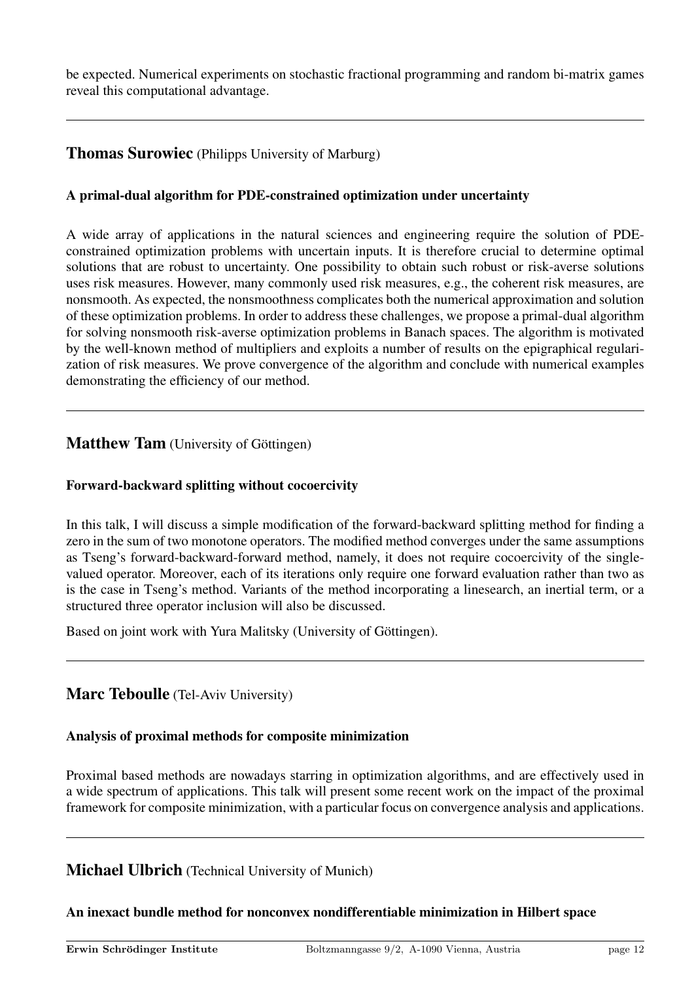be expected. Numerical experiments on stochastic fractional programming and random bi-matrix games reveal this computational advantage.

## **Thomas Surowiec** (Philipps University of Marburg)

## A primal-dual algorithm for PDE-constrained optimization under uncertainty

A wide array of applications in the natural sciences and engineering require the solution of PDEconstrained optimization problems with uncertain inputs. It is therefore crucial to determine optimal solutions that are robust to uncertainty. One possibility to obtain such robust or risk-averse solutions uses risk measures. However, many commonly used risk measures, e.g., the coherent risk measures, are nonsmooth. As expected, the nonsmoothness complicates both the numerical approximation and solution of these optimization problems. In order to address these challenges, we propose a primal-dual algorithm for solving nonsmooth risk-averse optimization problems in Banach spaces. The algorithm is motivated by the well-known method of multipliers and exploits a number of results on the epigraphical regularization of risk measures. We prove convergence of the algorithm and conclude with numerical examples demonstrating the efficiency of our method.

## Matthew Tam (University of Göttingen)

## Forward-backward splitting without cocoercivity

In this talk, I will discuss a simple modification of the forward-backward splitting method for finding a zero in the sum of two monotone operators. The modified method converges under the same assumptions as Tseng's forward-backward-forward method, namely, it does not require cocoercivity of the singlevalued operator. Moreover, each of its iterations only require one forward evaluation rather than two as is the case in Tseng's method. Variants of the method incorporating a linesearch, an inertial term, or a structured three operator inclusion will also be discussed.

Based on joint work with Yura Malitsky (University of Göttingen).

## Marc Teboulle (Tel-Aviv University)

#### Analysis of proximal methods for composite minimization

Proximal based methods are nowadays starring in optimization algorithms, and are effectively used in a wide spectrum of applications. This talk will present some recent work on the impact of the proximal framework for composite minimization, with a particular focus on convergence analysis and applications.

## Michael Ulbrich (Technical University of Munich)

## An inexact bundle method for nonconvex nondifferentiable minimization in Hilbert space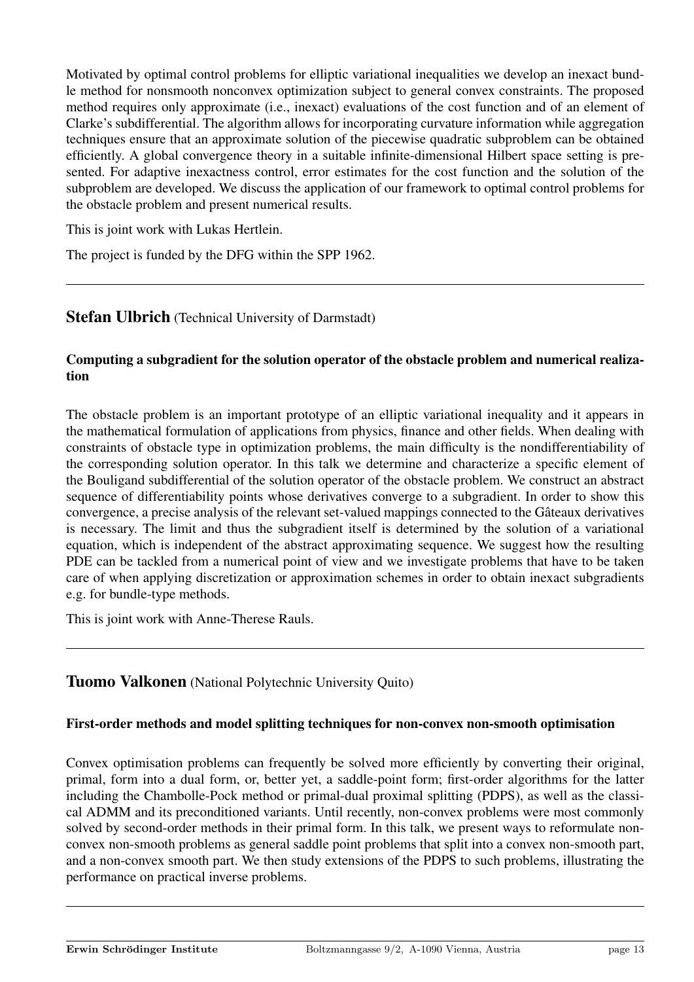Motivated by optimal control problems for elliptic variational inequalities we develop an inexact bundle method for nonsmooth nonconvex optimization subject to general convex constraints. The proposed method requires only approximate (i.e., inexact) evaluations of the cost function and of an element of Clarke's subdifferential. The algorithm allows for incorporating curvature information while aggregation techniques ensure that an approximate solution of the piecewise quadratic subproblem can be obtained efficiently. A global convergence theory in a suitable infinite-dimensional Hilbert space setting is presented. For adaptive inexactness control, error estimates for the cost function and the solution of the subproblem are developed. We discuss the application of our framework to optimal control problems for the obstacle problem and present numerical results.

This is joint work with Lukas Hertlein.

The project is funded by the DFG within the SPP 1962.

## **Stefan Ulbrich** (Technical University of Darmstadt)

## Computing a subgradient for the solution operator of the obstacle problem and numerical realization

The obstacle problem is an important prototype of an elliptic variational inequality and it appears in the mathematical formulation of applications from physics, finance and other fields. When dealing with constraints of obstacle type in optimization problems, the main difficulty is the nondifferentiability of the corresponding solution operator. In this talk we determine and characterize a specific element of the Bouligand subdifferential of the solution operator of the obstacle problem. We construct an abstract sequence of differentiability points whose derivatives converge to a subgradient. In order to show this convergence, a precise analysis of the relevant set-valued mappings connected to the Gâteaux derivatives is necessary. The limit and thus the subgradient itself is determined by the solution of a variational equation, which is independent of the abstract approximating sequence. We suggest how the resulting PDE can be tackled from a numerical point of view and we investigate problems that have to be taken care of when applying discretization or approximation schemes in order to obtain inexact subgradients e.g. for bundle-type methods.

This is joint work with Anne-Therese Rauls.

## Tuomo Valkonen (National Polytechnic University Quito)

## First-order methods and model splitting techniques for non-convex non-smooth optimisation

Convex optimisation problems can frequently be solved more efficiently by converting their original, primal, form into a dual form, or, better yet, a saddle-point form; first-order algorithms for the latter including the Chambolle-Pock method or primal-dual proximal splitting (PDPS), as well as the classical ADMM and its preconditioned variants. Until recently, non-convex problems were most commonly solved by second-order methods in their primal form. In this talk, we present ways to reformulate nonconvex non-smooth problems as general saddle point problems that split into a convex non-smooth part, and a non-convex smooth part. We then study extensions of the PDPS to such problems, illustrating the performance on practical inverse problems.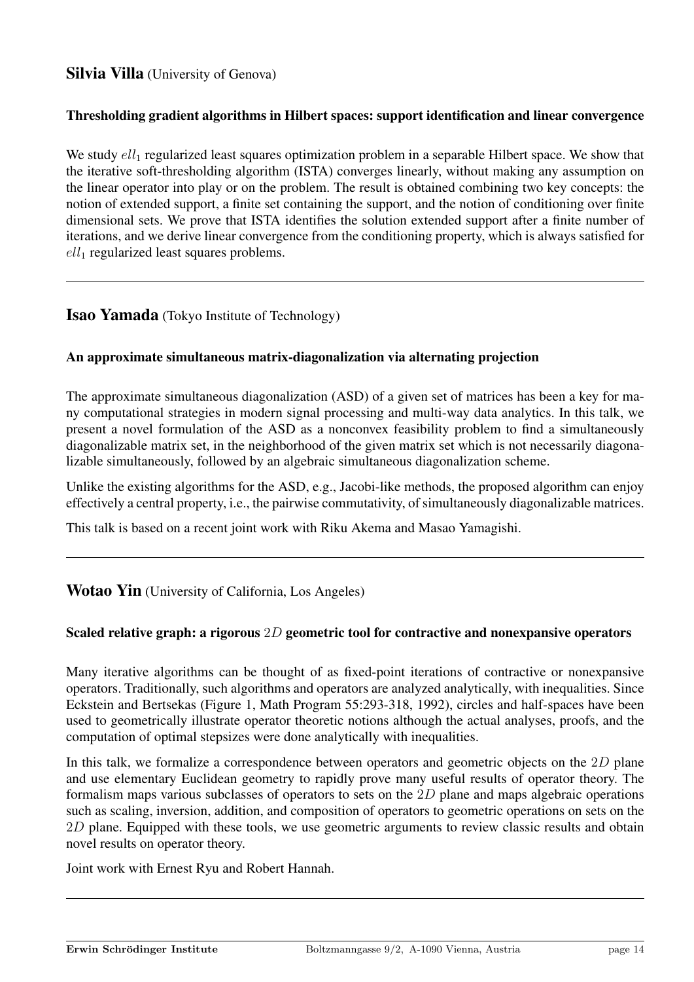# Silvia Villa (University of Genova)

#### Thresholding gradient algorithms in Hilbert spaces: support identification and linear convergence

We study  $ell_1$  regularized least squares optimization problem in a separable Hilbert space. We show that the iterative soft-thresholding algorithm (ISTA) converges linearly, without making any assumption on the linear operator into play or on the problem. The result is obtained combining two key concepts: the notion of extended support, a finite set containing the support, and the notion of conditioning over finite dimensional sets. We prove that ISTA identifies the solution extended support after a finite number of iterations, and we derive linear convergence from the conditioning property, which is always satisfied for  $ell_1$  regularized least squares problems.

## Isao Yamada (Tokyo Institute of Technology)

#### An approximate simultaneous matrix-diagonalization via alternating projection

The approximate simultaneous diagonalization (ASD) of a given set of matrices has been a key for many computational strategies in modern signal processing and multi-way data analytics. In this talk, we present a novel formulation of the ASD as a nonconvex feasibility problem to find a simultaneously diagonalizable matrix set, in the neighborhood of the given matrix set which is not necessarily diagonalizable simultaneously, followed by an algebraic simultaneous diagonalization scheme.

Unlike the existing algorithms for the ASD, e.g., Jacobi-like methods, the proposed algorithm can enjoy effectively a central property, i.e., the pairwise commutativity, of simultaneously diagonalizable matrices.

This talk is based on a recent joint work with Riku Akema and Masao Yamagishi.

## **Wotao Yin** (University of California, Los Angeles)

## Scaled relative graph: a rigorous 2D geometric tool for contractive and nonexpansive operators

Many iterative algorithms can be thought of as fixed-point iterations of contractive or nonexpansive operators. Traditionally, such algorithms and operators are analyzed analytically, with inequalities. Since Eckstein and Bertsekas (Figure 1, Math Program 55:293-318, 1992), circles and half-spaces have been used to geometrically illustrate operator theoretic notions although the actual analyses, proofs, and the computation of optimal stepsizes were done analytically with inequalities.

In this talk, we formalize a correspondence between operators and geometric objects on the 2D plane and use elementary Euclidean geometry to rapidly prove many useful results of operator theory. The formalism maps various subclasses of operators to sets on the 2D plane and maps algebraic operations such as scaling, inversion, addition, and composition of operators to geometric operations on sets on the 2D plane. Equipped with these tools, we use geometric arguments to review classic results and obtain novel results on operator theory.

Joint work with Ernest Ryu and Robert Hannah.